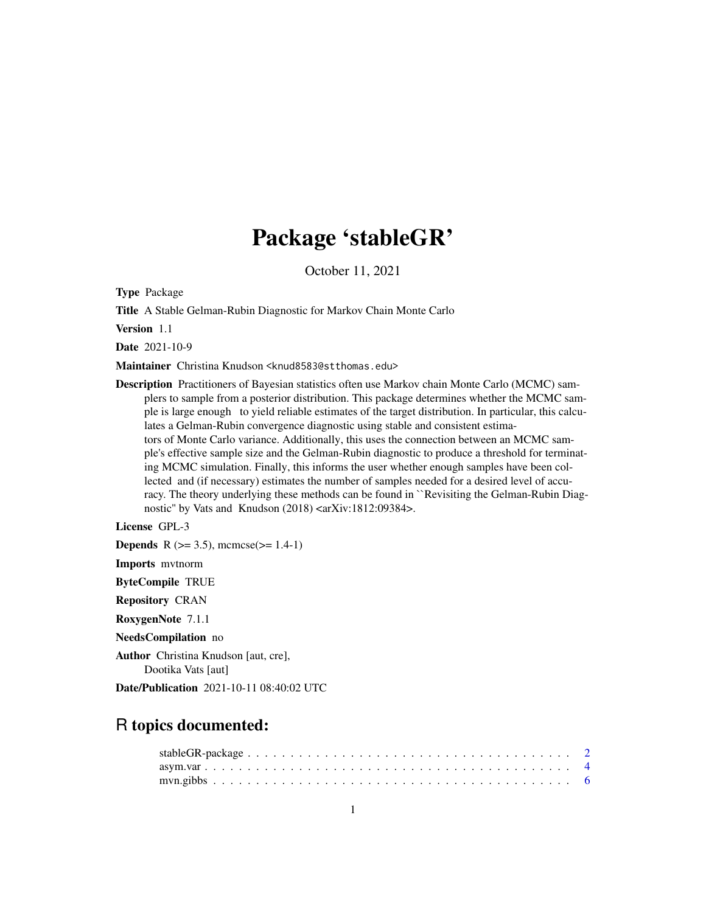# Package 'stableGR'

October 11, 2021

Type Package

Title A Stable Gelman-Rubin Diagnostic for Markov Chain Monte Carlo

Version 1.1

Date 2021-10-9

Maintainer Christina Knudson <knud8583@stthomas.edu>

Description Practitioners of Bayesian statistics often use Markov chain Monte Carlo (MCMC) samplers to sample from a posterior distribution. This package determines whether the MCMC sample is large enough to yield reliable estimates of the target distribution. In particular, this calculates a Gelman-Rubin convergence diagnostic using stable and consistent estimators of Monte Carlo variance. Additionally, this uses the connection between an MCMC sample's effective sample size and the Gelman-Rubin diagnostic to produce a threshold for terminating MCMC simulation. Finally, this informs the user whether enough samples have been collected and (if necessary) estimates the number of samples needed for a desired level of accuracy. The theory underlying these methods can be found in ``Revisiting the Gelman-Rubin Diagnostic" by Vats and Knudson  $(2018)$  <arXiv:1812:09384>.

License GPL-3 **Depends** R ( $>= 3.5$ ), mcmcse( $>= 1.4-1$ ) Imports mvtnorm ByteCompile TRUE Repository CRAN RoxygenNote 7.1.1 NeedsCompilation no Author Christina Knudson [aut, cre], Dootika Vats [aut] Date/Publication 2021-10-11 08:40:02 UTC

# R topics documented: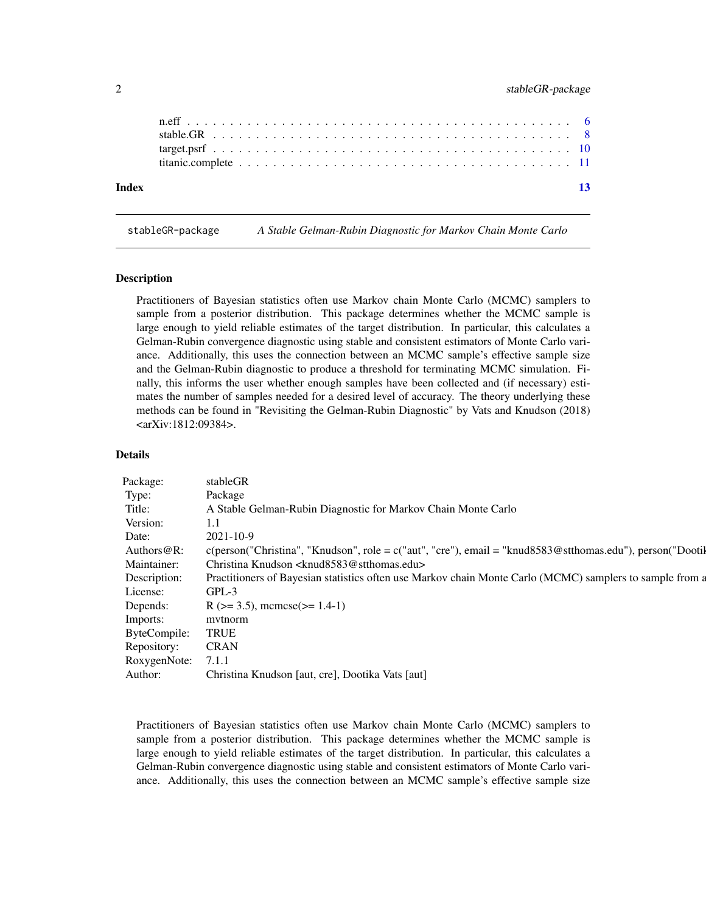<span id="page-1-0"></span>

| Index | $\overline{13}$ |
|-------|-----------------|

stableGR-package *A Stable Gelman-Rubin Diagnostic for Markov Chain Monte Carlo*

#### Description

Practitioners of Bayesian statistics often use Markov chain Monte Carlo (MCMC) samplers to sample from a posterior distribution. This package determines whether the MCMC sample is large enough to yield reliable estimates of the target distribution. In particular, this calculates a Gelman-Rubin convergence diagnostic using stable and consistent estimators of Monte Carlo variance. Additionally, this uses the connection between an MCMC sample's effective sample size and the Gelman-Rubin diagnostic to produce a threshold for terminating MCMC simulation. Finally, this informs the user whether enough samples have been collected and (if necessary) estimates the number of samples needed for a desired level of accuracy. The theory underlying these methods can be found in "Revisiting the Gelman-Rubin Diagnostic" by Vats and Knudson (2018) <arXiv:1812:09384>.

# Details

| Package <sup>.</sup><br>stableGR       |                                                                                                                      |
|----------------------------------------|----------------------------------------------------------------------------------------------------------------------|
| Package                                |                                                                                                                      |
|                                        | A Stable Gelman-Rubin Diagnostic for Markov Chain Monte Carlo                                                        |
| Version:                               |                                                                                                                      |
| Date:                                  |                                                                                                                      |
|                                        |                                                                                                                      |
|                                        | Authors@R: c(person("Christina", "Knudson", role = c("aut", "cre"), email = "knud8583@stthomas.edu"), person("Dootil |
|                                        | Maintainer: Christina Knudson <knud8583@stthomas.edu></knud8583@stthomas.edu>                                        |
| escription:                            | Practitioners of Bayesian statistics often use Markov chain Monte Carlo (MCMC) samplers to sample from a             |
| GPI                                    |                                                                                                                      |
| License:                               |                                                                                                                      |
|                                        | Depends: $R (> = 3.5)$ , mcmcse(>= 1.4-1)                                                                            |
| mvtnorm<br>Imports:                    |                                                                                                                      |
| ByteCompile: TRUE                      |                                                                                                                      |
|                                        |                                                                                                                      |
|                                        |                                                                                                                      |
|                                        |                                                                                                                      |
| Repository: CRAN<br>RoxygenNote: 7.1.1 | Author: Christina Knudson [aut, cre], Dootika Vats [aut]                                                             |

Practitioners of Bayesian statistics often use Markov chain Monte Carlo (MCMC) samplers to sample from a posterior distribution. This package determines whether the MCMC sample is large enough to yield reliable estimates of the target distribution. In particular, this calculates a Gelman-Rubin convergence diagnostic using stable and consistent estimators of Monte Carlo variance. Additionally, this uses the connection between an MCMC sample's effective sample size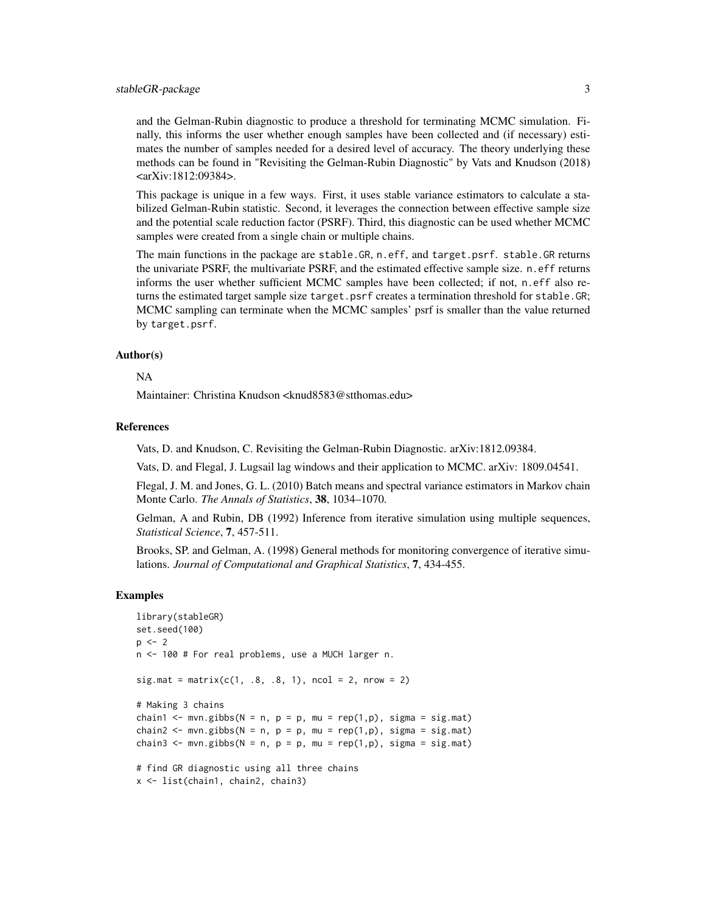# stableGR-package 3

and the Gelman-Rubin diagnostic to produce a threshold for terminating MCMC simulation. Finally, this informs the user whether enough samples have been collected and (if necessary) estimates the number of samples needed for a desired level of accuracy. The theory underlying these methods can be found in "Revisiting the Gelman-Rubin Diagnostic" by Vats and Knudson (2018) <arXiv:1812:09384>.

This package is unique in a few ways. First, it uses stable variance estimators to calculate a stabilized Gelman-Rubin statistic. Second, it leverages the connection between effective sample size and the potential scale reduction factor (PSRF). Third, this diagnostic can be used whether MCMC samples were created from a single chain or multiple chains.

The main functions in the package are stable.GR, n.eff, and target.psrf. stable.GR returns the univariate PSRF, the multivariate PSRF, and the estimated effective sample size. n.eff returns informs the user whether sufficient MCMC samples have been collected; if not, n.eff also returns the estimated target sample size target.psrf creates a termination threshold for stable.GR; MCMC sampling can terminate when the MCMC samples' psrf is smaller than the value returned by target.psrf.

#### Author(s)

# NA

Maintainer: Christina Knudson <knud8583@stthomas.edu>

## References

Vats, D. and Knudson, C. Revisiting the Gelman-Rubin Diagnostic. arXiv:1812.09384.

Vats, D. and Flegal, J. Lugsail lag windows and their application to MCMC. arXiv: 1809.04541.

Flegal, J. M. and Jones, G. L. (2010) Batch means and spectral variance estimators in Markov chain Monte Carlo. *The Annals of Statistics*, 38, 1034–1070.

Gelman, A and Rubin, DB (1992) Inference from iterative simulation using multiple sequences, *Statistical Science*, 7, 457-511.

Brooks, SP. and Gelman, A. (1998) General methods for monitoring convergence of iterative simulations. *Journal of Computational and Graphical Statistics*, 7, 434-455.

# Examples

```
library(stableGR)
set.seed(100)
p \le -2n <- 100 # For real problems, use a MUCH larger n.
sig.math = matrix(c(1, .8, .8, 1), ncol = 2, nrow = 2)# Making 3 chains
chain1 <- mvn.gibbs(N = n, p = p, mu = rep(1,p), sigma = sig.mat)
chain2 <- mvn.gibbs(N = n, p = p, mu = rep(1,p), sigma = sig.mat)
chain3 <- mvn.gibbs(N = n, p = p, mu = rep(1,p), sigma = sig.mat)
# find GR diagnostic using all three chains
x <- list(chain1, chain2, chain3)
```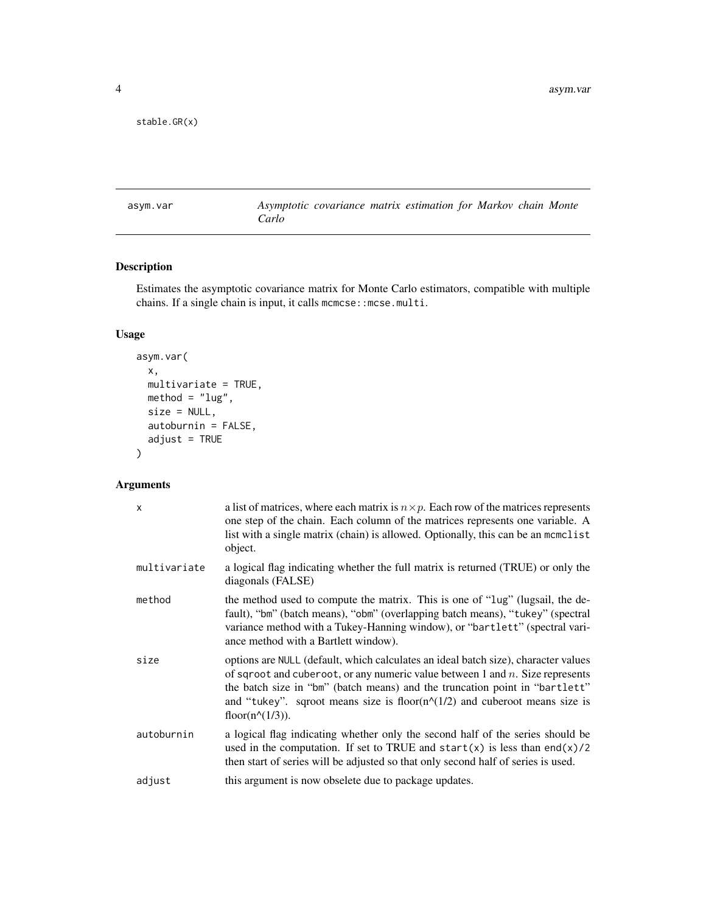```
stable.GR(x)
```
asym.var *Asymptotic covariance matrix estimation for Markov chain Monte Carlo*

# Description

Estimates the asymptotic covariance matrix for Monte Carlo estimators, compatible with multiple chains. If a single chain is input, it calls mcmcse:: mcse.multi.

# Usage

```
asym.var(
 x,
 multivariate = TRUE,
 method = "lug",size = NULL,
 autoburnin = FALSE,
  adjust = TRUE\mathcal{L}
```
# Arguments

| $\mathsf{x}$ | a list of matrices, where each matrix is $n \times p$ . Each row of the matrices represents<br>one step of the chain. Each column of the matrices represents one variable. A<br>list with a single matrix (chain) is allowed. Optionally, this can be an mcmclist<br>object.                                                                                                    |
|--------------|---------------------------------------------------------------------------------------------------------------------------------------------------------------------------------------------------------------------------------------------------------------------------------------------------------------------------------------------------------------------------------|
| multivariate | a logical flag indicating whether the full matrix is returned (TRUE) or only the<br>diagonals (FALSE)                                                                                                                                                                                                                                                                           |
| method       | the method used to compute the matrix. This is one of "lug" (lugsail, the de-<br>fault), "bm" (batch means), "obm" (overlapping batch means), "tukey" (spectral<br>variance method with a Tukey-Hanning window), or "bartlett" (spectral vari-<br>ance method with a Bartlett window).                                                                                          |
| size         | options are NULL (default, which calculates an ideal batch size), character values<br>of sqroot and cuberoot, or any numeric value between 1 and $n$ . Size represents<br>the batch size in "bm" (batch means) and the truncation point in "bartlett"<br>and "tukey". sqroot means size is floor( $n^{\wedge}(1/2)$ ) and cuberoot means size is<br>floor( $n^{\wedge}(1/3)$ ). |
| autoburnin   | a logical flag indicating whether only the second half of the series should be<br>used in the computation. If set to TRUE and start(x) is less than end(x)/2<br>then start of series will be adjusted so that only second half of series is used.                                                                                                                               |
| adjust       | this argument is now obselete due to package updates.                                                                                                                                                                                                                                                                                                                           |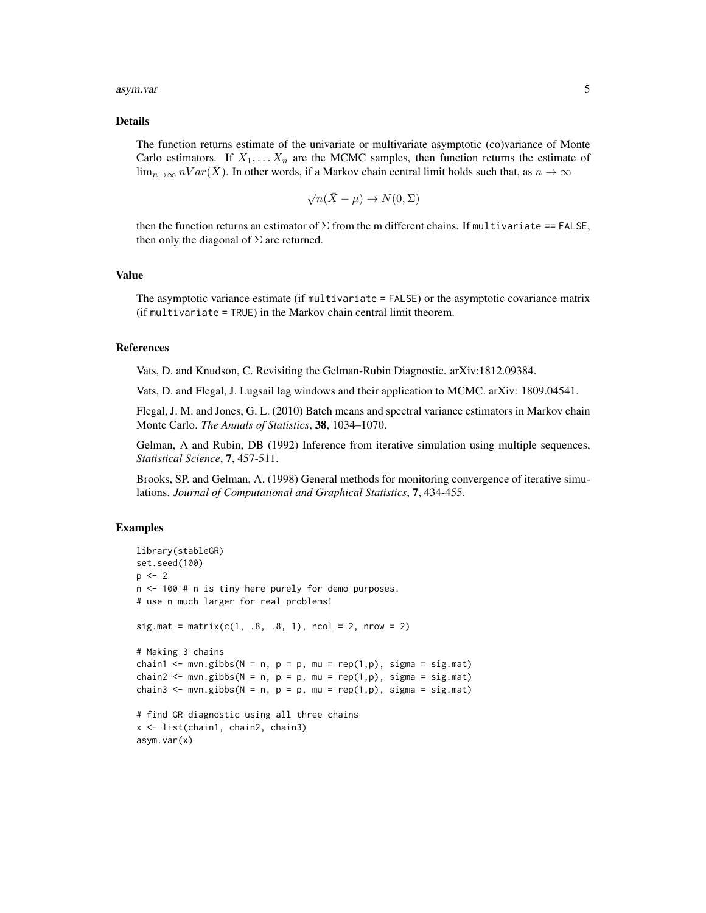### asym.var 5

#### Details

The function returns estimate of the univariate or multivariate asymptotic (co)variance of Monte Carlo estimators. If  $X_1, \ldots, X_n$  are the MCMC samples, then function returns the estimate of  $\lim_{n\to\infty} nVar(\overline{X})$ . In other words, if a Markov chain central limit holds such that, as  $n \to \infty$ 

$$
\sqrt{n}(\bar{X} - \mu) \to N(0, \Sigma)
$$

then the function returns an estimator of  $\Sigma$  from the m different chains. If multivariate == FALSE, then only the diagonal of  $\Sigma$  are returned.

# Value

The asymptotic variance estimate (if multivariate = FALSE) or the asymptotic covariance matrix (if multivariate = TRUE) in the Markov chain central limit theorem.

# References

Vats, D. and Knudson, C. Revisiting the Gelman-Rubin Diagnostic. arXiv:1812.09384.

Vats, D. and Flegal, J. Lugsail lag windows and their application to MCMC. arXiv: 1809.04541.

Flegal, J. M. and Jones, G. L. (2010) Batch means and spectral variance estimators in Markov chain Monte Carlo. *The Annals of Statistics*, 38, 1034–1070.

Gelman, A and Rubin, DB (1992) Inference from iterative simulation using multiple sequences, *Statistical Science*, 7, 457-511.

Brooks, SP. and Gelman, A. (1998) General methods for monitoring convergence of iterative simulations. *Journal of Computational and Graphical Statistics*, 7, 434-455.

# Examples

```
library(stableGR)
set.seed(100)
p \le -2n <- 100 # n is tiny here purely for demo purposes.
# use n much larger for real problems!
sig.math = matrix(c(1, .8, .8, 1), ncol = 2, nrow = 2)# Making 3 chains
chain1 <- mvn.gibbs(N = n, p = p, mu = rep(1,p), sigma = sig.mat)
chain2 <- mvn.gibbs(N = n, p = p, mu = rep(1,p), sigma = sig.mat)
chain3 <- mvn.gibbs(N = n, p = p, mu = rep(1,p), sigma = sig.mat)
# find GR diagnostic using all three chains
x <- list(chain1, chain2, chain3)
asym.var(x)
```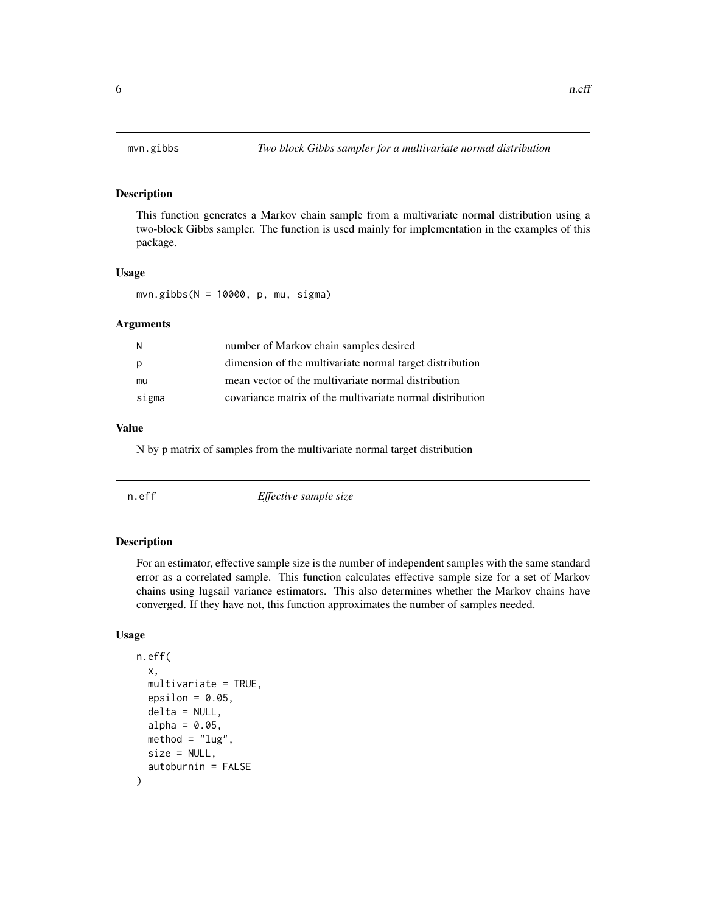# <span id="page-5-0"></span>Description

This function generates a Markov chain sample from a multivariate normal distribution using a two-block Gibbs sampler. The function is used mainly for implementation in the examples of this package.

# Usage

mvn.gibbs(N = 10000, p, mu, sigma)

# Arguments

| -N    | number of Markov chain samples desired                    |
|-------|-----------------------------------------------------------|
| p     | dimension of the multivariate normal target distribution  |
| mu    | mean vector of the multivariate normal distribution       |
| sigma | covariance matrix of the multivariate normal distribution |

# Value

N by p matrix of samples from the multivariate normal target distribution

|--|

# Description

For an estimator, effective sample size is the number of independent samples with the same standard error as a correlated sample. This function calculates effective sample size for a set of Markov chains using lugsail variance estimators. This also determines whether the Markov chains have converged. If they have not, this function approximates the number of samples needed.

# Usage

```
n.eff(
  x,
  multivariate = TRUE,
  epsilon = 0.05,
  delta = NULL,
  alpha = 0.05,
  method = "lug".size = NULL,
  autoburnin = FALSE
)
```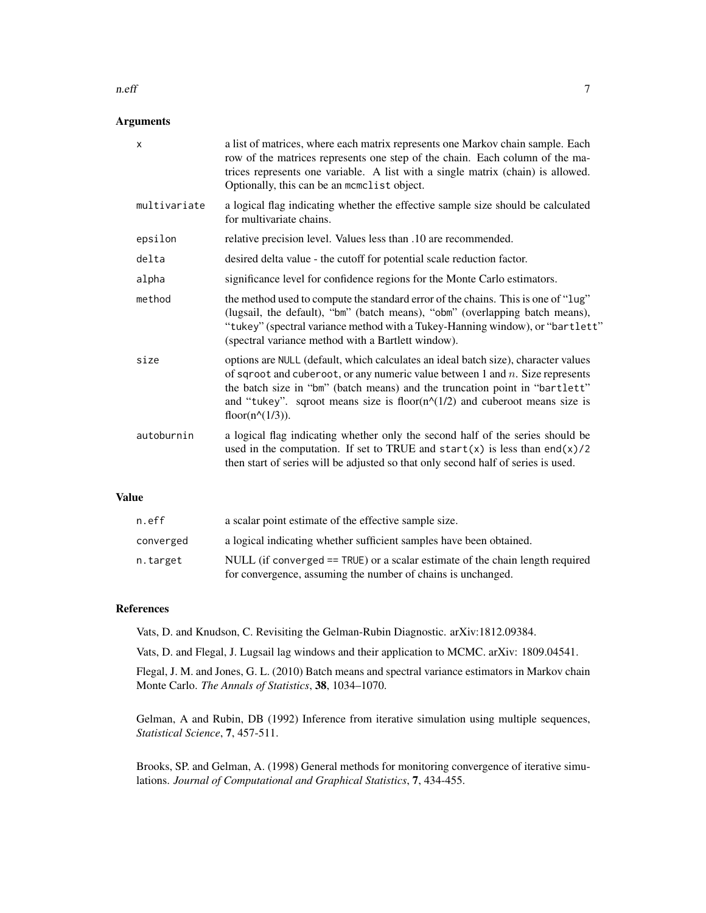### n.eff 7

# Arguments

| $\mathsf{x}$ | a list of matrices, where each matrix represents one Markov chain sample. Each<br>row of the matrices represents one step of the chain. Each column of the ma-<br>trices represents one variable. A list with a single matrix (chain) is allowed.<br>Optionally, this can be an momolist object.                                                                                |
|--------------|---------------------------------------------------------------------------------------------------------------------------------------------------------------------------------------------------------------------------------------------------------------------------------------------------------------------------------------------------------------------------------|
| multivariate | a logical flag indicating whether the effective sample size should be calculated<br>for multivariate chains.                                                                                                                                                                                                                                                                    |
| epsilon      | relative precision level. Values less than .10 are recommended.                                                                                                                                                                                                                                                                                                                 |
| delta        | desired delta value - the cutoff for potential scale reduction factor.                                                                                                                                                                                                                                                                                                          |
| alpha        | significance level for confidence regions for the Monte Carlo estimators.                                                                                                                                                                                                                                                                                                       |
| method       | the method used to compute the standard error of the chains. This is one of "lug"<br>(lugsail, the default), "bm" (batch means), "obm" (overlapping batch means),<br>"tukey" (spectral variance method with a Tukey-Hanning window), or "bartlett"<br>(spectral variance method with a Bartlett window).                                                                        |
| size         | options are NULL (default, which calculates an ideal batch size), character values<br>of sqroot and cuberoot, or any numeric value between 1 and $n$ . Size represents<br>the batch size in "bm" (batch means) and the truncation point in "bartlett"<br>and "tukey". sqroot means size is floor( $n^{\wedge}(1/2)$ ) and cuberoot means size is<br>floor( $n^{\wedge}(1/3)$ ). |
| autoburnin   | a logical flag indicating whether only the second half of the series should be<br>used in the computation. If set to TRUE and start(x) is less than end(x)/2<br>then start of series will be adjusted so that only second half of series is used.                                                                                                                               |
|              |                                                                                                                                                                                                                                                                                                                                                                                 |

# Value

| n.eff     | a scalar point estimate of the effective sample size.                         |
|-----------|-------------------------------------------------------------------------------|
| converged | a logical indicating whether sufficient samples have been obtained.           |
| n.target  | NULL (if converged == TRUE) or a scalar estimate of the chain length required |
|           | for convergence, assuming the number of chains is unchanged.                  |

# References

Vats, D. and Knudson, C. Revisiting the Gelman-Rubin Diagnostic. arXiv:1812.09384.

Vats, D. and Flegal, J. Lugsail lag windows and their application to MCMC. arXiv: 1809.04541.

Flegal, J. M. and Jones, G. L. (2010) Batch means and spectral variance estimators in Markov chain Monte Carlo. *The Annals of Statistics*, 38, 1034–1070.

Gelman, A and Rubin, DB (1992) Inference from iterative simulation using multiple sequences, *Statistical Science*, 7, 457-511.

Brooks, SP. and Gelman, A. (1998) General methods for monitoring convergence of iterative simulations. *Journal of Computational and Graphical Statistics*, 7, 434-455.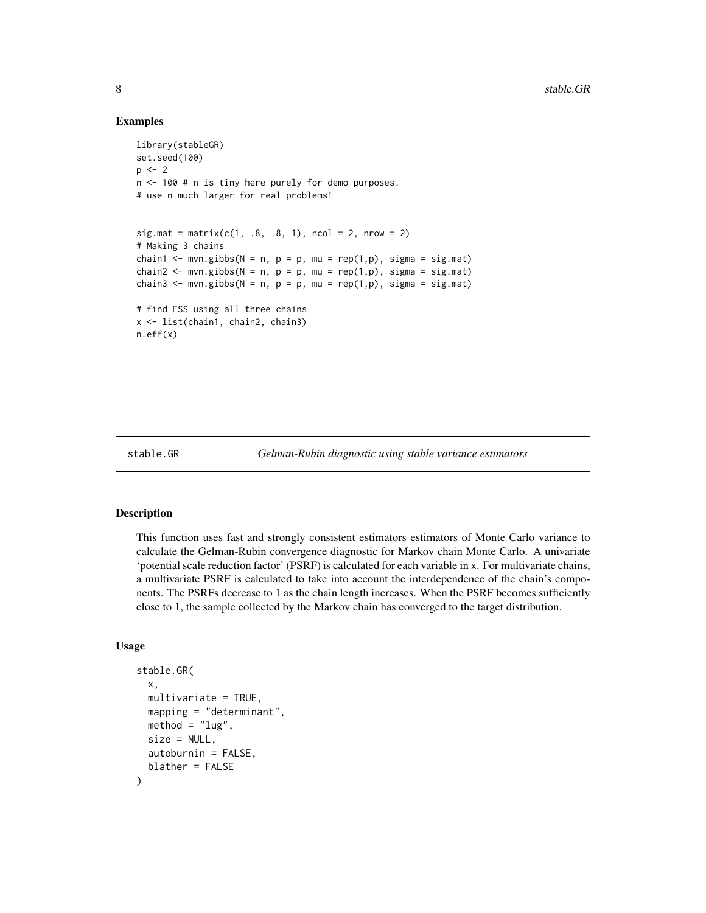# Examples

```
library(stableGR)
set.seed(100)
p \le -2n <- 100 # n is tiny here purely for demo purposes.
# use n much larger for real problems!
sig.math = matrix(c(1, .8, .8, 1), ncol = 2, nrow = 2)# Making 3 chains
chain1 <- mvn.gibbs(N = n, p = p, mu = rep(1,p), sigma = sig.mat)
chain2 <- mvn.gibbs(N = n, p = p, mu = rep(1,p), sigma = sig.mat)
chain3 <- mvn.gibbs(N = n, p = p, mu = rep(1,p), sigma = sig.mat)
# find ESS using all three chains
x <- list(chain1, chain2, chain3)
n.eff(x)
```

```
stable.GR Gelman-Rubin diagnostic using stable variance estimators
```
# Description

This function uses fast and strongly consistent estimators estimators of Monte Carlo variance to calculate the Gelman-Rubin convergence diagnostic for Markov chain Monte Carlo. A univariate 'potential scale reduction factor' (PSRF) is calculated for each variable in x. For multivariate chains, a multivariate PSRF is calculated to take into account the interdependence of the chain's components. The PSRFs decrease to 1 as the chain length increases. When the PSRF becomes sufficiently close to 1, the sample collected by the Markov chain has converged to the target distribution.

# Usage

```
stable.GR(
  x,
  multivariate = TRUE,
 mapping = "determinant",
 method = "lug",size = NULL,
  autoburnin = FALSE,
 blather = FALSE
)
```
<span id="page-7-0"></span>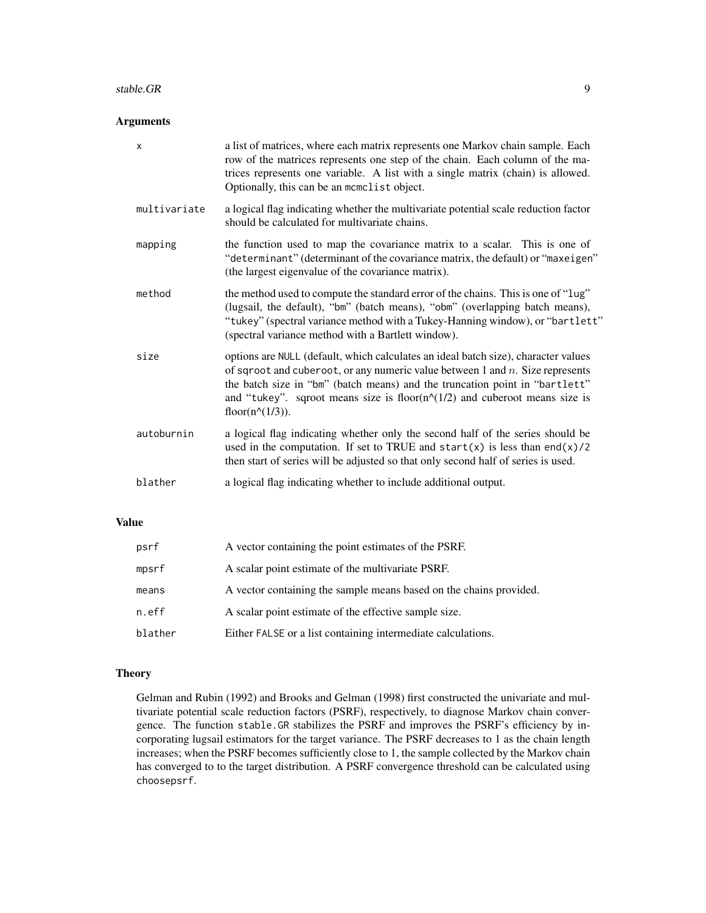### stable.GR 9

# Arguments

| $\times$     | a list of matrices, where each matrix represents one Markov chain sample. Each<br>row of the matrices represents one step of the chain. Each column of the ma-<br>trices represents one variable. A list with a single matrix (chain) is allowed.<br>Optionally, this can be an momolist object.                                                                                |
|--------------|---------------------------------------------------------------------------------------------------------------------------------------------------------------------------------------------------------------------------------------------------------------------------------------------------------------------------------------------------------------------------------|
| multivariate | a logical flag indicating whether the multivariate potential scale reduction factor<br>should be calculated for multivariate chains.                                                                                                                                                                                                                                            |
| mapping      | the function used to map the covariance matrix to a scalar. This is one of<br>"determinant" (determinant of the covariance matrix, the default) or "maxeigen"<br>(the largest eigenvalue of the covariance matrix).                                                                                                                                                             |
| method       | the method used to compute the standard error of the chains. This is one of "lug"<br>(lugsail, the default), "bm" (batch means), "obm" (overlapping batch means),<br>"tukey" (spectral variance method with a Tukey-Hanning window), or "bartlett"<br>(spectral variance method with a Bartlett window).                                                                        |
| size         | options are NULL (default, which calculates an ideal batch size), character values<br>of sqroot and cuberoot, or any numeric value between 1 and $n$ . Size represents<br>the batch size in "bm" (batch means) and the truncation point in "bartlett"<br>and "tukey". sqroot means size is floor( $n^{\wedge}(1/2)$ ) and cuberoot means size is<br>floor( $n^{\wedge}(1/3)$ ). |
| autoburnin   | a logical flag indicating whether only the second half of the series should be<br>used in the computation. If set to TRUE and start(x) is less than end(x)/2<br>then start of series will be adjusted so that only second half of series is used.                                                                                                                               |
| blather      | a logical flag indicating whether to include additional output.                                                                                                                                                                                                                                                                                                                 |

# Value

| psrf    | A vector containing the point estimates of the PSRF.               |
|---------|--------------------------------------------------------------------|
| mpsrf   | A scalar point estimate of the multivariate PSRF.                  |
| means   | A vector containing the sample means based on the chains provided. |
| n.eff   | A scalar point estimate of the effective sample size.              |
| blather | Either FALSE or a list containing intermediate calculations.       |

# **Theory**

Gelman and Rubin (1992) and Brooks and Gelman (1998) first constructed the univariate and multivariate potential scale reduction factors (PSRF), respectively, to diagnose Markov chain convergence. The function stable.GR stabilizes the PSRF and improves the PSRF's efficiency by incorporating lugsail estimators for the target variance. The PSRF decreases to 1 as the chain length increases; when the PSRF becomes sufficiently close to 1, the sample collected by the Markov chain has converged to to the target distribution. A PSRF convergence threshold can be calculated using choosepsrf.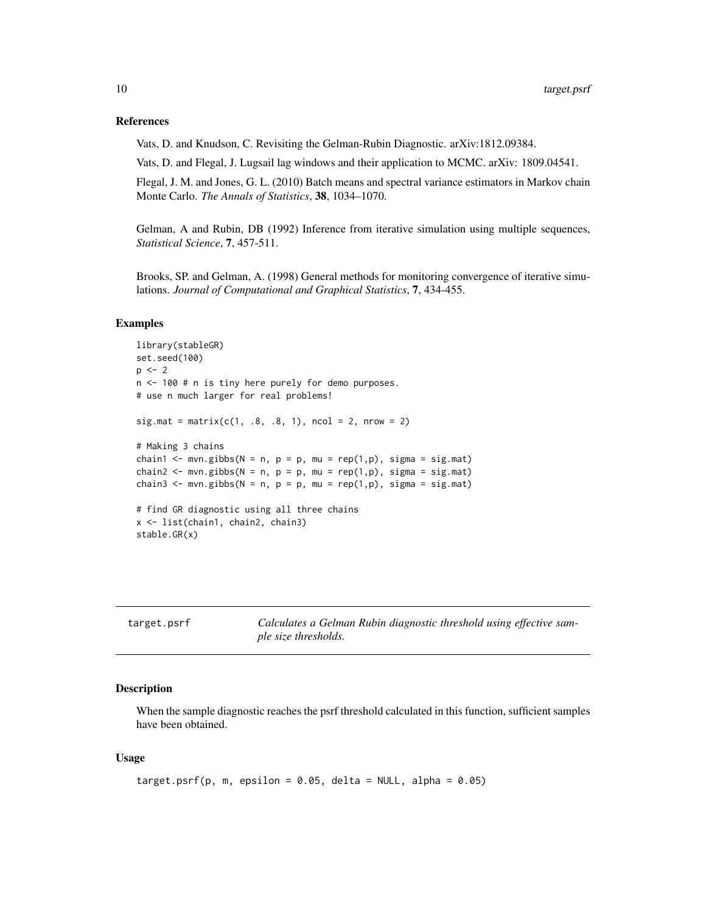# <span id="page-9-0"></span>References

Vats, D. and Knudson, C. Revisiting the Gelman-Rubin Diagnostic. arXiv:1812.09384.

Vats, D. and Flegal, J. Lugsail lag windows and their application to MCMC. arXiv: 1809.04541.

Flegal, J. M. and Jones, G. L. (2010) Batch means and spectral variance estimators in Markov chain Monte Carlo. *The Annals of Statistics*, 38, 1034–1070.

Gelman, A and Rubin, DB (1992) Inference from iterative simulation using multiple sequences, *Statistical Science*, 7, 457-511.

Brooks, SP. and Gelman, A. (1998) General methods for monitoring convergence of iterative simulations. *Journal of Computational and Graphical Statistics*, 7, 434-455.

# Examples

```
library(stableGR)
set.seed(100)
p \le -2n <- 100 # n is tiny here purely for demo purposes.
# use n much larger for real problems!
sig.math = matrix(c(1, .8, .8, 1), ncol = 2, nrow = 2)# Making 3 chains
chain1 <- mvn.gibbs(N = n, p = p, mu = rep(1,p), sigma = sig.mat)
chain2 <- mvn.gibbs(N = n, p = p, mu = rep(1,p), sigma = sig.mat)
chain3 <- mvn.gibbs(N = n, p = p, mu = rep(1,p), sigma = sig.mat)
# find GR diagnostic using all three chains
x <- list(chain1, chain2, chain3)
stable.GR(x)
```

| target.psrf | Calculates a Gelman Rubin diagnostic threshold using effective sam- |
|-------------|---------------------------------------------------------------------|
|             | ple size thresholds.                                                |

## Description

When the sample diagnostic reaches the psrf threshold calculated in this function, sufficient samples have been obtained.

# Usage

```
target.psrf(p, m, epsilon = 0.05, delta = NULL, alpha = 0.05)
```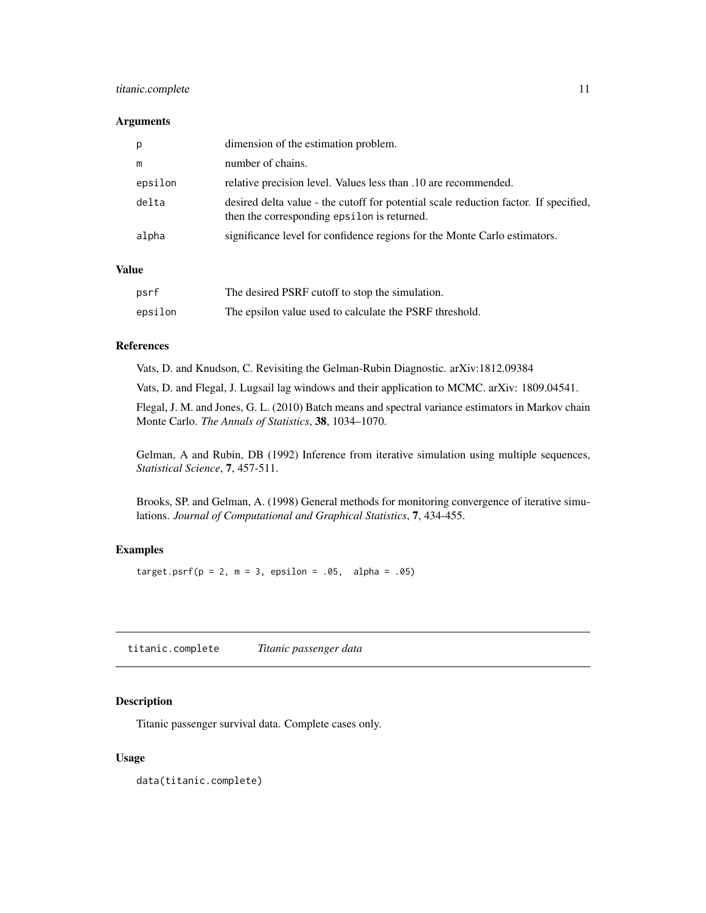# <span id="page-10-0"></span>titanic.complete 11

# Arguments

| р       | dimension of the estimation problem.                                                                                                |
|---------|-------------------------------------------------------------------------------------------------------------------------------------|
| m       | number of chains.                                                                                                                   |
| epsilon | relative precision level. Values less than .10 are recommended.                                                                     |
| delta   | desired delta value - the cutoff for potential scale reduction factor. If specified,<br>then the corresponding epsilon is returned. |
| alpha   | significance level for confidence regions for the Monte Carlo estimators.                                                           |

# Value

| psrf    | The desired PSRF cutoff to stop the simulation.         |
|---------|---------------------------------------------------------|
| epsilon | The epsilon value used to calculate the PSRF threshold. |

# References

Vats, D. and Knudson, C. Revisiting the Gelman-Rubin Diagnostic. arXiv:1812.09384

Vats, D. and Flegal, J. Lugsail lag windows and their application to MCMC. arXiv: 1809.04541.

Flegal, J. M. and Jones, G. L. (2010) Batch means and spectral variance estimators in Markov chain Monte Carlo. *The Annals of Statistics*, 38, 1034–1070.

Gelman, A and Rubin, DB (1992) Inference from iterative simulation using multiple sequences, *Statistical Science*, 7, 457-511.

Brooks, SP. and Gelman, A. (1998) General methods for monitoring convergence of iterative simulations. *Journal of Computational and Graphical Statistics*, 7, 434-455.

# Examples

target.psrf( $p = 2$ ,  $m = 3$ , epsilon = .05, alpha = .05)

titanic.complete *Titanic passenger data*

# Description

Titanic passenger survival data. Complete cases only.

# Usage

data(titanic.complete)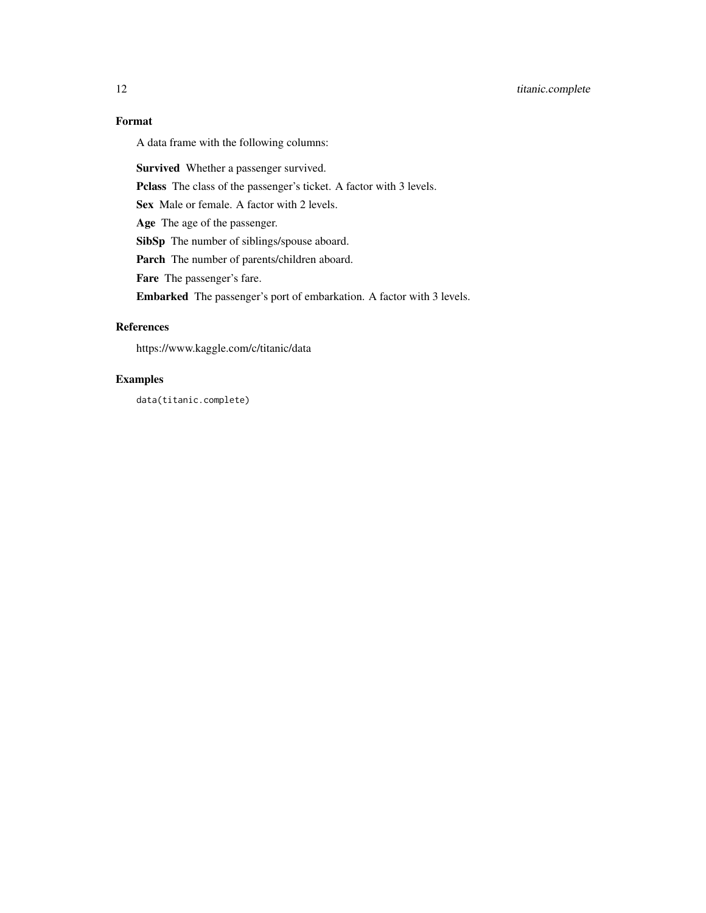# Format

A data frame with the following columns:

Survived Whether a passenger survived.

Pclass The class of the passenger's ticket. A factor with 3 levels.

Sex Male or female. A factor with 2 levels.

Age The age of the passenger.

SibSp The number of siblings/spouse aboard.

Parch The number of parents/children aboard.

Fare The passenger's fare.

Embarked The passenger's port of embarkation. A factor with 3 levels.

# References

https://www.kaggle.com/c/titanic/data

# Examples

data(titanic.complete)